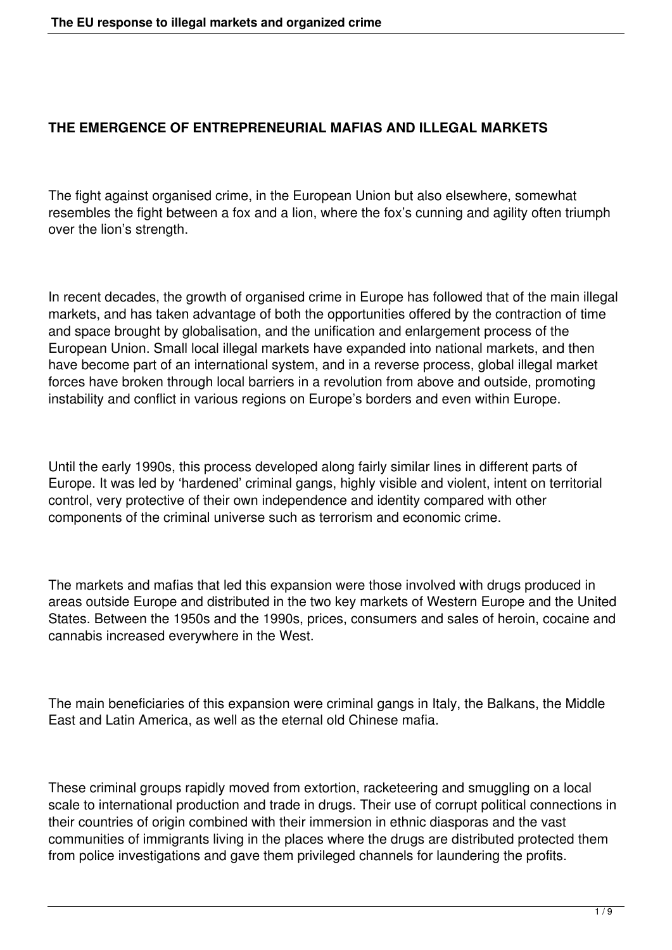### **THE EMERGENCE OF ENTREPRENEURIAL MAFIAS AND ILLEGAL MARKETS**

The fight against organised crime, in the European Union but also elsewhere, somewhat resembles the fight between a fox and a lion, where the fox's cunning and agility often triumph over the lion's strength.

In recent decades, the growth of organised crime in Europe has followed that of the main illegal markets, and has taken advantage of both the opportunities offered by the contraction of time and space brought by globalisation, and the unification and enlargement process of the European Union. Small local illegal markets have expanded into national markets, and then have become part of an international system, and in a reverse process, global illegal market forces have broken through local barriers in a revolution from above and outside, promoting instability and conflict in various regions on Europe's borders and even within Europe.

Until the early 1990s, this process developed along fairly similar lines in different parts of Europe. It was led by 'hardened' criminal gangs, highly visible and violent, intent on territorial control, very protective of their own independence and identity compared with other components of the criminal universe such as terrorism and economic crime.

The markets and mafias that led this expansion were those involved with drugs produced in areas outside Europe and distributed in the two key markets of Western Europe and the United States. Between the 1950s and the 1990s, prices, consumers and sales of heroin, cocaine and cannabis increased everywhere in the West.

The main beneficiaries of this expansion were criminal gangs in Italy, the Balkans, the Middle East and Latin America, as well as the eternal old Chinese mafia.

These criminal groups rapidly moved from extortion, racketeering and smuggling on a local scale to international production and trade in drugs. Their use of corrupt political connections in their countries of origin combined with their immersion in ethnic diasporas and the vast communities of immigrants living in the places where the drugs are distributed protected them from police investigations and gave them privileged channels for laundering the profits.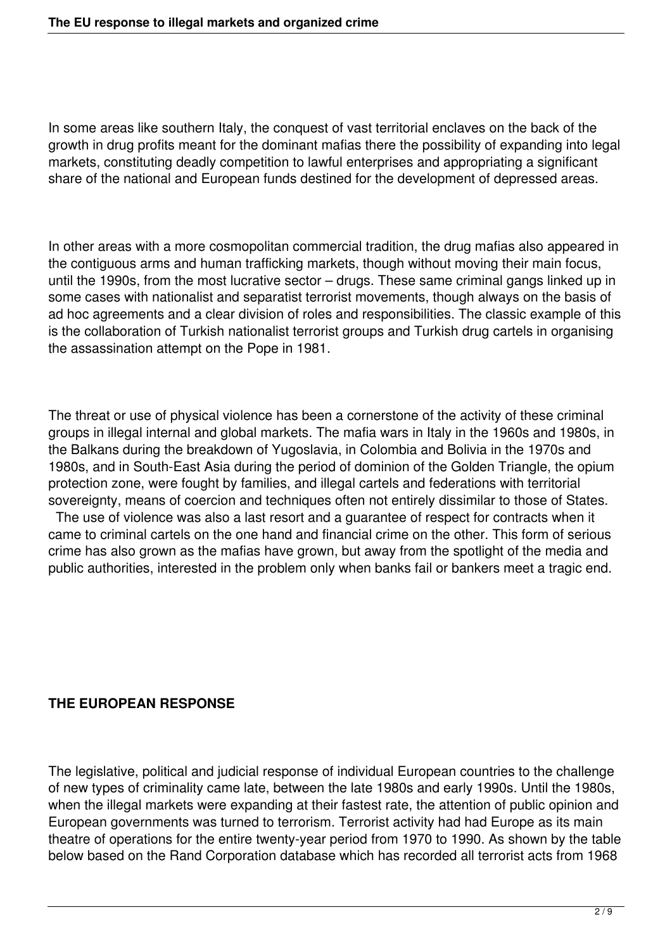In some areas like southern Italy, the conquest of vast territorial enclaves on the back of the growth in drug profits meant for the dominant mafias there the possibility of expanding into legal markets, constituting deadly competition to lawful enterprises and appropriating a significant share of the national and European funds destined for the development of depressed areas.

In other areas with a more cosmopolitan commercial tradition, the drug mafias also appeared in the contiguous arms and human trafficking markets, though without moving their main focus, until the 1990s, from the most lucrative sector – drugs. These same criminal gangs linked up in some cases with nationalist and separatist terrorist movements, though always on the basis of ad hoc agreements and a clear division of roles and responsibilities. The classic example of this is the collaboration of Turkish nationalist terrorist groups and Turkish drug cartels in organising the assassination attempt on the Pope in 1981.

The threat or use of physical violence has been a cornerstone of the activity of these criminal groups in illegal internal and global markets. The mafia wars in Italy in the 1960s and 1980s, in the Balkans during the breakdown of Yugoslavia, in Colombia and Bolivia in the 1970s and 1980s, and in South-East Asia during the period of dominion of the Golden Triangle, the opium protection zone, were fought by families, and illegal cartels and federations with territorial sovereignty, means of coercion and techniques often not entirely dissimilar to those of States.

The use of violence was also a last resort and a guarantee of respect for contracts when it came to criminal cartels on the one hand and financial crime on the other. This form of serious crime has also grown as the mafias have grown, but away from the spotlight of the media and public authorities, interested in the problem only when banks fail or bankers meet a tragic end.

## **THE EUROPEAN RESPONSE**

The legislative, political and judicial response of individual European countries to the challenge of new types of criminality came late, between the late 1980s and early 1990s. Until the 1980s, when the illegal markets were expanding at their fastest rate, the attention of public opinion and European governments was turned to terrorism. Terrorist activity had had Europe as its main theatre of operations for the entire twenty-year period from 1970 to 1990. As shown by the table below based on the Rand Corporation database which has recorded all terrorist acts from 1968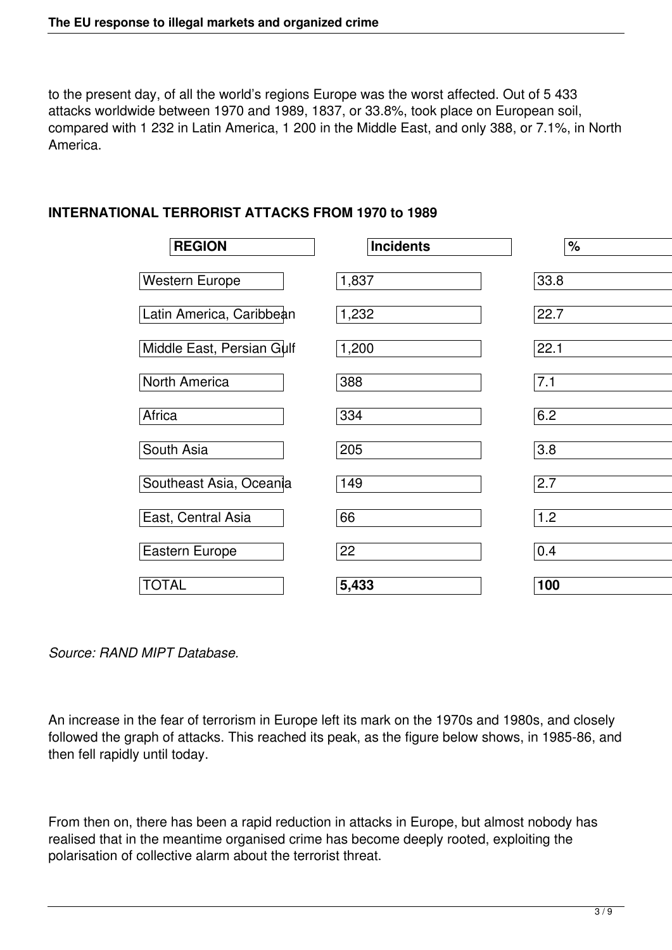to the present day, of all the world's regions Europe was the worst affected. Out of 5 433 attacks worldwide between 1970 and 1989, 1837, or 33.8%, took place on European soil, compared with 1 232 in Latin America, 1 200 in the Middle East, and only 388, or 7.1%, in North America.

## **INTERNATIONAL TERRORIST ATTACKS FROM 1970 to 1989**

| <b>REGION</b>             | <b>Incidents</b> | $\frac{1}{\sqrt{2}}$ |
|---------------------------|------------------|----------------------|
| <b>Western Europe</b>     | 1,837            | 33.8                 |
| Latin America, Caribbean  | 1,232            | 22.7                 |
| Middle East, Persian Gulf | 1,200            | 22.1                 |
| North America             | 388              | 7.1                  |
| Africa                    | 334              | 6.2                  |
| South Asia                | 205              | 3.8                  |
| Southeast Asia, Oceania   | 149              | $\overline{2.7}$     |
| East, Central Asia        | 66               | 1.2                  |
| <b>Eastern Europe</b>     | 22               | 0.4                  |
| <b>TOTAL</b>              | 5,433            | 100                  |

An increase in the fear of terrorism in Europe left its mark on the 1970s and 1980s, and closely followed the graph of attacks. This reached its peak, as the figure below shows, in 1985-86, and then fell rapidly until today.

From then on, there has been a rapid reduction in attacks in Europe, but almost nobody has realised that in the meantime organised crime has become deeply rooted, exploiting the polarisation of collective alarm about the terrorist threat.

*Source: RAND MIPT Database.*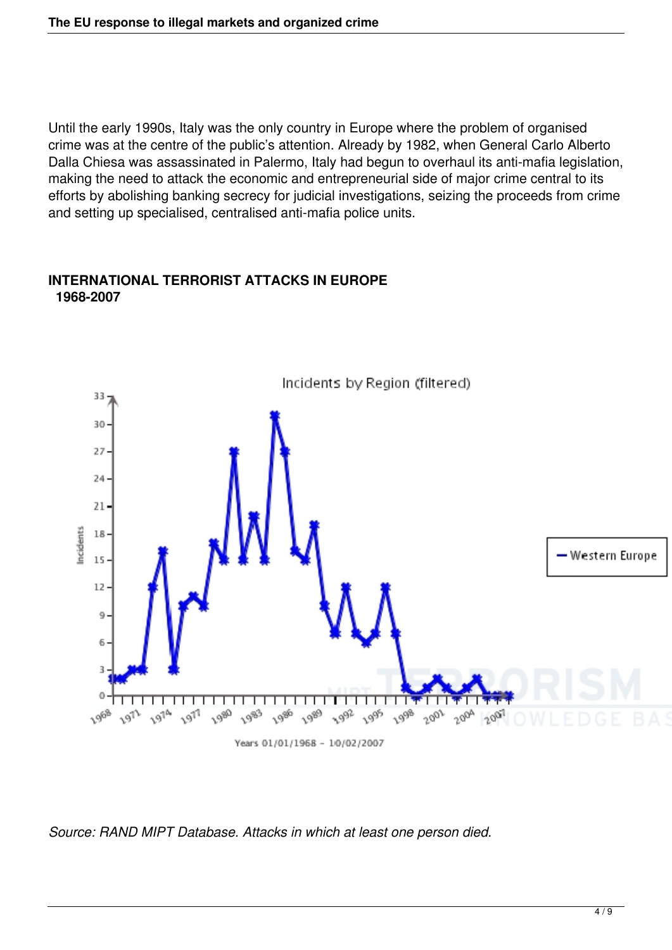Until the early 1990s, Italy was the only country in Europe where the problem of organised crime was at the centre of the public's attention. Already by 1982, when General Carlo Alberto Dalla Chiesa was assassinated in Palermo, Italy had begun to overhaul its anti-mafia legislation, making the need to attack the economic and entrepreneurial side of major crime central to its efforts by abolishing banking secrecy for judicial investigations, seizing the proceeds from crime and setting up specialised, centralised anti-mafia police units.



#### **INTERNATIONAL TERRORIST ATTACKS IN EUROPE 1968-2007**

*Source: RAND MIPT Database. Attacks in which at least one person died.*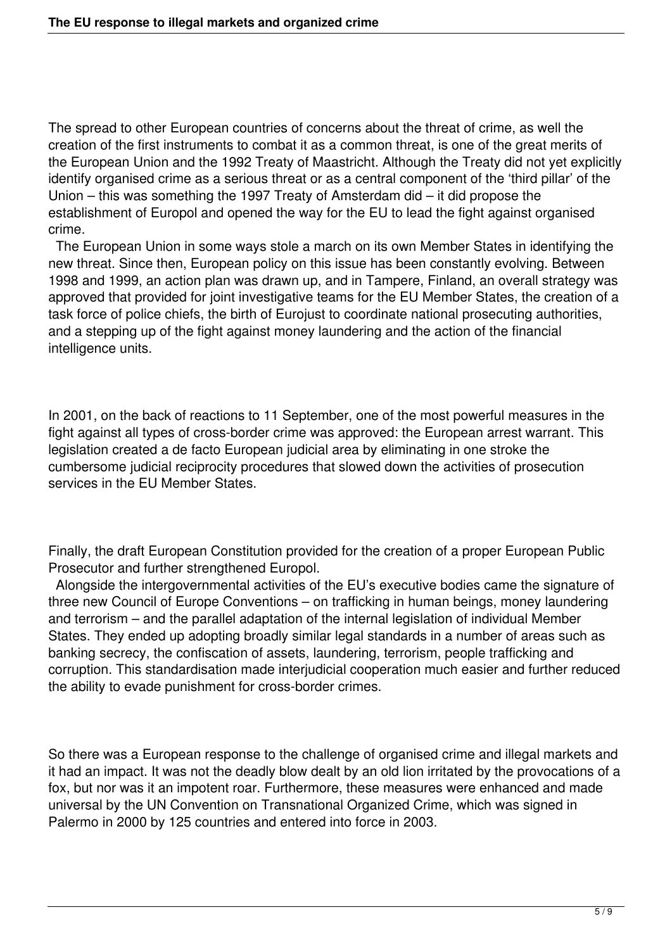The spread to other European countries of concerns about the threat of crime, as well the creation of the first instruments to combat it as a common threat, is one of the great merits of the European Union and the 1992 Treaty of Maastricht. Although the Treaty did not yet explicitly identify organised crime as a serious threat or as a central component of the 'third pillar' of the Union – this was something the 1997 Treaty of Amsterdam did – it did propose the establishment of Europol and opened the way for the EU to lead the fight against organised crime.

 The European Union in some ways stole a march on its own Member States in identifying the new threat. Since then, European policy on this issue has been constantly evolving. Between 1998 and 1999, an action plan was drawn up, and in Tampere, Finland, an overall strategy was approved that provided for joint investigative teams for the EU Member States, the creation of a task force of police chiefs, the birth of Eurojust to coordinate national prosecuting authorities, and a stepping up of the fight against money laundering and the action of the financial intelligence units.

In 2001, on the back of reactions to 11 September, one of the most powerful measures in the fight against all types of cross-border crime was approved: the European arrest warrant. This legislation created a de facto European judicial area by eliminating in one stroke the cumbersome judicial reciprocity procedures that slowed down the activities of prosecution services in the EU Member States.

Finally, the draft European Constitution provided for the creation of a proper European Public Prosecutor and further strengthened Europol.

 Alongside the intergovernmental activities of the EU's executive bodies came the signature of three new Council of Europe Conventions – on trafficking in human beings, money laundering and terrorism – and the parallel adaptation of the internal legislation of individual Member States. They ended up adopting broadly similar legal standards in a number of areas such as banking secrecy, the confiscation of assets, laundering, terrorism, people trafficking and corruption. This standardisation made interjudicial cooperation much easier and further reduced the ability to evade punishment for cross-border crimes.

So there was a European response to the challenge of organised crime and illegal markets and it had an impact. It was not the deadly blow dealt by an old lion irritated by the provocations of a fox, but nor was it an impotent roar. Furthermore, these measures were enhanced and made universal by the UN Convention on Transnational Organized Crime, which was signed in Palermo in 2000 by 125 countries and entered into force in 2003.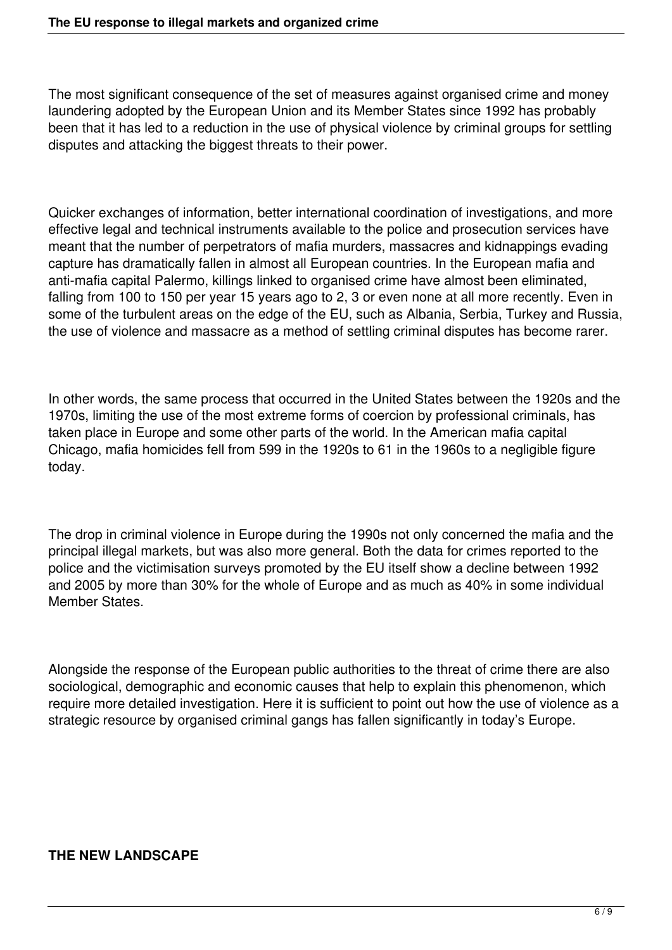The most significant consequence of the set of measures against organised crime and money laundering adopted by the European Union and its Member States since 1992 has probably been that it has led to a reduction in the use of physical violence by criminal groups for settling disputes and attacking the biggest threats to their power.

Quicker exchanges of information, better international coordination of investigations, and more effective legal and technical instruments available to the police and prosecution services have meant that the number of perpetrators of mafia murders, massacres and kidnappings evading capture has dramatically fallen in almost all European countries. In the European mafia and anti-mafia capital Palermo, killings linked to organised crime have almost been eliminated, falling from 100 to 150 per year 15 years ago to 2, 3 or even none at all more recently. Even in some of the turbulent areas on the edge of the EU, such as Albania, Serbia, Turkey and Russia, the use of violence and massacre as a method of settling criminal disputes has become rarer.

In other words, the same process that occurred in the United States between the 1920s and the 1970s, limiting the use of the most extreme forms of coercion by professional criminals, has taken place in Europe and some other parts of the world. In the American mafia capital Chicago, mafia homicides fell from 599 in the 1920s to 61 in the 1960s to a negligible figure today.

The drop in criminal violence in Europe during the 1990s not only concerned the mafia and the principal illegal markets, but was also more general. Both the data for crimes reported to the police and the victimisation surveys promoted by the EU itself show a decline between 1992 and 2005 by more than 30% for the whole of Europe and as much as 40% in some individual Member States.

Alongside the response of the European public authorities to the threat of crime there are also sociological, demographic and economic causes that help to explain this phenomenon, which require more detailed investigation. Here it is sufficient to point out how the use of violence as a strategic resource by organised criminal gangs has fallen significantly in today's Europe.

# **THE NEW LANDSCAPE**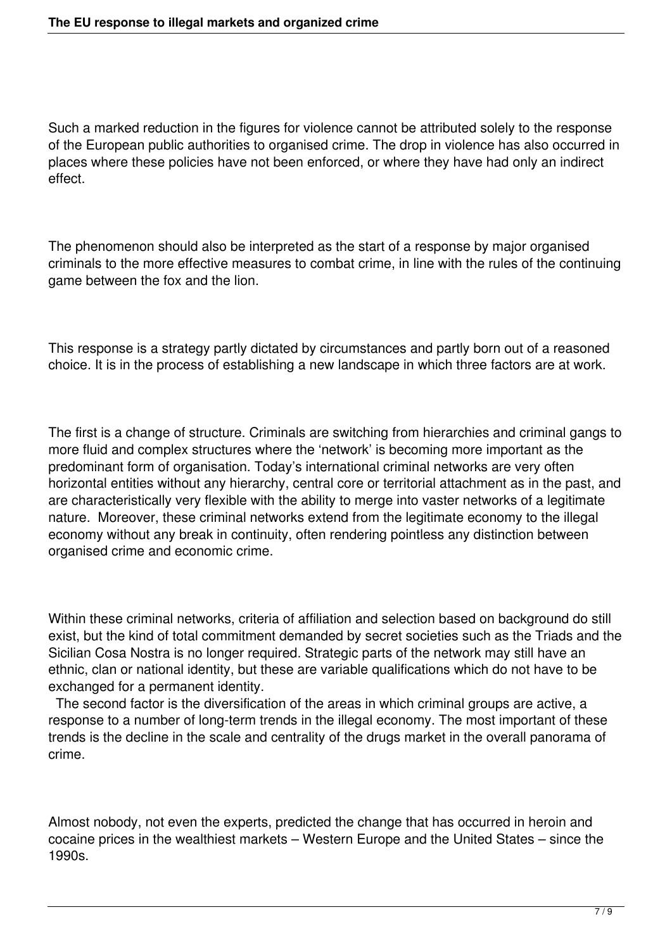Such a marked reduction in the figures for violence cannot be attributed solely to the response of the European public authorities to organised crime. The drop in violence has also occurred in places where these policies have not been enforced, or where they have had only an indirect effect.

The phenomenon should also be interpreted as the start of a response by major organised criminals to the more effective measures to combat crime, in line with the rules of the continuing game between the fox and the lion.

This response is a strategy partly dictated by circumstances and partly born out of a reasoned choice. It is in the process of establishing a new landscape in which three factors are at work.

The first is a change of structure. Criminals are switching from hierarchies and criminal gangs to more fluid and complex structures where the 'network' is becoming more important as the predominant form of organisation. Today's international criminal networks are very often horizontal entities without any hierarchy, central core or territorial attachment as in the past, and are characteristically very flexible with the ability to merge into vaster networks of a legitimate nature. Moreover, these criminal networks extend from the legitimate economy to the illegal economy without any break in continuity, often rendering pointless any distinction between organised crime and economic crime.

Within these criminal networks, criteria of affiliation and selection based on background do still exist, but the kind of total commitment demanded by secret societies such as the Triads and the Sicilian Cosa Nostra is no longer required. Strategic parts of the network may still have an ethnic, clan or national identity, but these are variable qualifications which do not have to be exchanged for a permanent identity.

 The second factor is the diversification of the areas in which criminal groups are active, a response to a number of long-term trends in the illegal economy. The most important of these trends is the decline in the scale and centrality of the drugs market in the overall panorama of crime.

Almost nobody, not even the experts, predicted the change that has occurred in heroin and cocaine prices in the wealthiest markets – Western Europe and the United States – since the 1990s.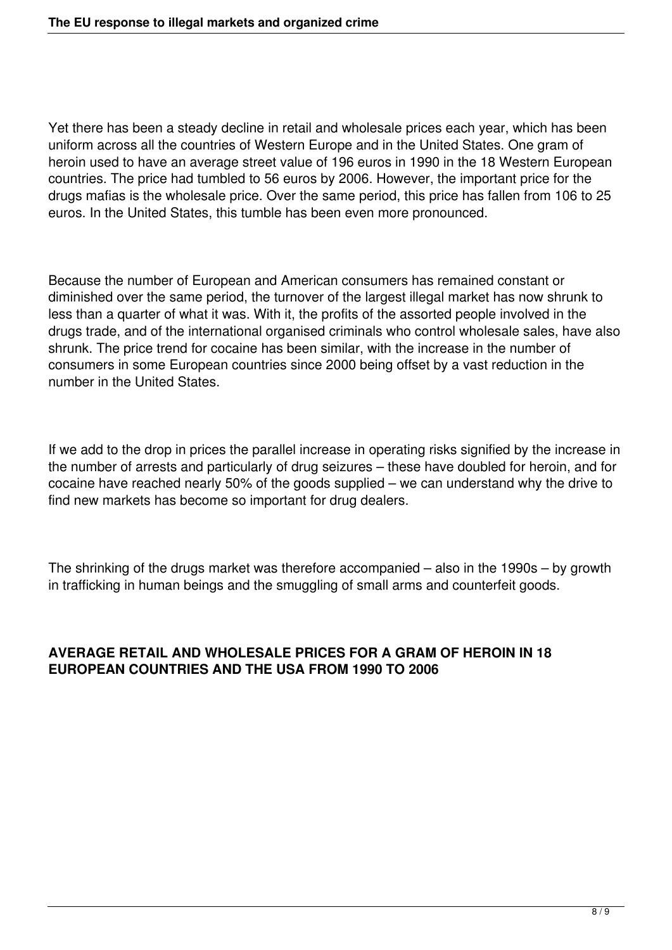Yet there has been a steady decline in retail and wholesale prices each year, which has been uniform across all the countries of Western Europe and in the United States. One gram of heroin used to have an average street value of 196 euros in 1990 in the 18 Western European countries. The price had tumbled to 56 euros by 2006. However, the important price for the drugs mafias is the wholesale price. Over the same period, this price has fallen from 106 to 25 euros. In the United States, this tumble has been even more pronounced.

Because the number of European and American consumers has remained constant or diminished over the same period, the turnover of the largest illegal market has now shrunk to less than a quarter of what it was. With it, the profits of the assorted people involved in the drugs trade, and of the international organised criminals who control wholesale sales, have also shrunk. The price trend for cocaine has been similar, with the increase in the number of consumers in some European countries since 2000 being offset by a vast reduction in the number in the United States.

If we add to the drop in prices the parallel increase in operating risks signified by the increase in the number of arrests and particularly of drug seizures – these have doubled for heroin, and for cocaine have reached nearly 50% of the goods supplied – we can understand why the drive to find new markets has become so important for drug dealers.

The shrinking of the drugs market was therefore accompanied – also in the 1990s – by growth in trafficking in human beings and the smuggling of small arms and counterfeit goods.

### **AVERAGE RETAIL AND WHOLESALE PRICES FOR A GRAM OF HEROIN IN 18 EUROPEAN COUNTRIES AND THE USA FROM 1990 TO 2006**